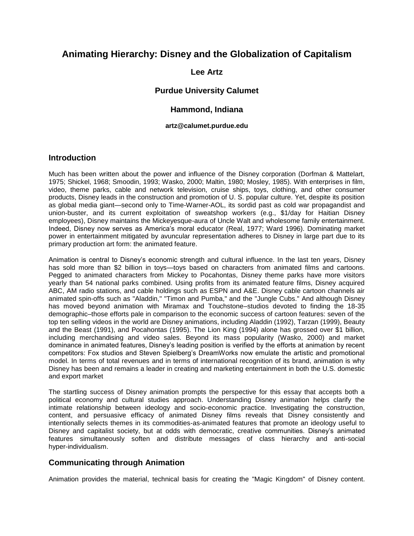# **Animating Hierarchy: Disney and the Globalization of Capitalism**

## **Lee Artz**

## **Purdue University Calumet**

#### **Hammond, Indiana**

#### **artz@calumet.purdue.edu**

#### **Introduction**

Much has been written about the power and influence of the Disney corporation (Dorfman & Mattelart, 1975; Shickel, 1968; Smoodin, 1993; Wasko, 2000; Maltin, 1980; Mosley, 1985). With enterprises in film, video, theme parks, cable and network television, cruise ships, toys, clothing, and other consumer products, Disney leads in the construction and promotion of U. S. popular culture. Yet, despite its position as global media giant—second only to Time-Warner-AOL, its sordid past as cold war propagandist and union-buster, and its current exploitation of sweatshop workers (e.g., \$1/day for Haitian Disney employees), Disney maintains the Mickeyesque-aura of Uncle Walt and wholesome family entertainment. Indeed, Disney now serves as America's moral educator (Real, 1977; Ward 1996). Dominating market power in entertainment mitigated by avuncular representation adheres to Disney in large part due to its primary production art form: the animated feature.

Animation is central to Disney's economic strength and cultural influence. In the last ten years, Disney has sold more than \$2 billion in toys—toys based on characters from animated films and cartoons. Pegged to animated characters from Mickey to Pocahontas, Disney theme parks have more visitors yearly than 54 national parks combined. Using profits from its animated feature films, Disney acquired ABC, AM radio stations, and cable holdings such as ESPN and A&E. Disney cable cartoon channels air animated spin-offs such as "Aladdin," "Timon and Pumba," and the "Jungle Cubs." And although Disney has moved beyond animation with Miramax and Touchstone–studios devoted to finding the 18-35 demographic–those efforts pale in comparison to the economic success of cartoon features: seven of the top ten selling videos in the world are Disney animations, including Aladdin (1992), Tarzan (1999), Beauty and the Beast (1991), and Pocahontas (1995). The Lion King (1994) alone has grossed over \$1 billion, including merchandising and video sales. Beyond its mass popularity (Wasko, 2000) and market dominance in animated features, Disney's leading position is verified by the efforts at animation by recent competitors: Fox studios and Steven Spielberg's DreamWorks now emulate the artistic and promotional model. In terms of total revenues and in terms of international recognition of its brand, animation is why Disney has been and remains a leader in creating and marketing entertainment in both the U.S. domestic and export market

The startling success of Disney animation prompts the perspective for this essay that accepts both a political economy and cultural studies approach. Understanding Disney animation helps clarify the intimate relationship between ideology and socio-economic practice. Investigating the construction, content, and persuasive efficacy of animated Disney films reveals that Disney consistently and intentionally selects themes in its commodities-as-animated features that promote an ideology useful to Disney and capitalist society, but at odds with democratic, creative communities. Disney's animated features simultaneously soften and distribute messages of class hierarchy and anti-social hyper-individualism.

#### **Communicating through Animation**

Animation provides the material, technical basis for creating the "Magic Kingdom" of Disney content.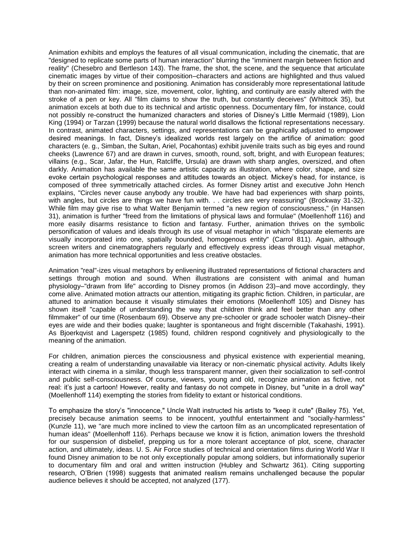Animation exhibits and employs the features of all visual communication, including the cinematic, that are "designed to replicate some parts of human interaction" blurring the "imminent margin between fiction and reality" (Chesebro and Bertleson 143). The frame, the shot, the scene, and the sequence that articulate cinematic images by virtue of their composition–characters and actions are highlighted and thus valued by their on screen prominence and positioning. Animation has considerably more representational latitude than non-animated film: image, size, movement, color, lighting, and continuity are easily altered with the stroke of a pen or key. All "film claims to show the truth, but constantly deceives" (Whittock 35), but animation excels at both due to its technical and artistic openness. Documentary film, for instance, could not possibly re-construct the humanized characters and stories of Disney's Little Mermaid (1989), Lion King (1994) or Tarzan (1999) because the natural world disallows the fictional representations necessary. In contrast, animated characters, settings, and representations can be graphically adjusted to empower desired meanings. In fact, Disney's idealized worlds rest largely on the artifice of animation: good characters (e. g., Simban, the Sultan, Ariel, Pocahontas) exhibit juvenile traits such as big eyes and round cheeks (Lawrence 67) and are drawn in curves, smooth, round, soft, bright, and with European features; villains (e.g., Scar, Jafar, the Hun, Ratcliffe, Ursula) are drawn with sharp angles, oversized, and often darkly. Animation has available the same artistic capacity as illustration, where color, shape, and size evoke certain psychological responses and attitudes towards an object. Mickey's head, for instance, is composed of three symmetrically attached circles. As former Disney artist and executive John Hench explains, "Circles never cause anybody any trouble. We have had bad experiences with sharp points, with angles, but circles are things we have fun with. . . circles are very reassuring" (Brockway 31-32). While film may give rise to what Walter Benjamin termed "a new region of consciousness," (in Hansen 31), animation is further "freed from the limitations of physical laws and formulae" (Moellenhoff 116) and more easily disarms resistance to fiction and fantasy. Further, animation thrives on the symbolic personification of values and ideals through its use of visual metaphor in which "disparate elements are visually incorporated into one, spatially bounded, homogenous entity" (Carrol 811). Again, although screen writers and cinematographers regularly and effectively express ideas through visual metaphor, animation has more technical opportunities and less creative obstacles.

Animation "real"-izes visual metaphors by enlivening illustrated representations of fictional characters and settings through motion and sound. When illustrations are consistent with animal and human physiology–"drawn from life" according to Disney promos (in Addison 23)–and move accordingly, they come alive. Animated motion attracts our attention, mitigating its graphic fiction. Children, in particular, are attuned to animation because it visually stimulates their emotions (Moellenhoff 105) and Disney has shown itself "capable of understanding the way that children think and feel better than any other filmmaker" of our time (Rosenbaum 69). Observe any pre-schooler or grade schooler watch Disney–their eyes are wide and their bodies quake; laughter is spontaneous and fright discernible (Takahashi, 1991). As Bjoerkqvist and Lagerspetz (1985) found, children respond cognitively and physiologically to the meaning of the animation.

For children, animation pierces the consciousness and physical existence with experiential meaning, creating a realm of understanding unavailable via literacy or non-cinematic physical activity. Adults likely interact with cinema in a similar, though less transparent manner, given their socialization to self-control and public self-consciousness. Of course, viewers, young and old, recognize animation as fictive, not real: it's just a cartoon! However, reality and fantasy do not compete in Disney, but "unite in a droll way" (Moellenhoff 114) exempting the stories from fidelity to extant or historical conditions.

To emphasize the story's "innocence," Uncle Walt instructed his artists to "keep it cute" (Bailey 75). Yet, precisely because animation seems to be innocent, youthful entertainment and "socially-harmless" (Kunzle 11), we "are much more inclined to view the cartoon film as an uncomplicated representation of human ideas" (Moellenhoff 116). Perhaps because we know it is fiction, animation lowers the threshold for our suspension of disbelief, prepping us for a more tolerant acceptance of plot, scene, character action, and ultimately, ideas. U. S. Air Force studies of technical and orientation films during World War II found Disney animation to be not only exceptionally popular among soldiers, but informationally superior to documentary film and oral and written instruction (Hubley and Schwartz 361). Citing supporting research, O'Brien (1998) suggests that animated realism remains unchallenged because the popular audience believes it should be accepted, not analyzed (177).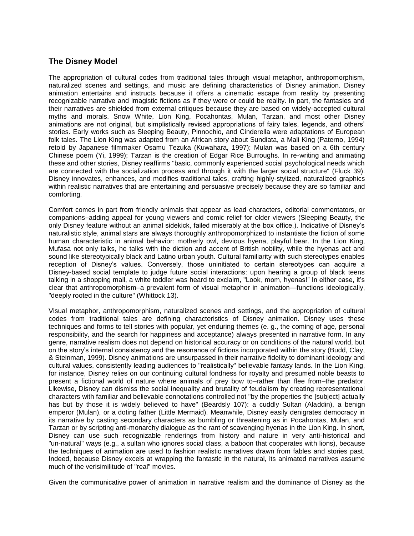## **The Disney Model**

The appropriation of cultural codes from traditional tales through visual metaphor, anthropomorphism, naturalized scenes and settings, and music are defining characteristics of Disney animation. Disney animation entertains and instructs because it offers a cinematic escape from reality by presenting recognizable narrative and imagistic fictions as if they were or could be reality. In part, the fantasies and their narratives are shielded from external critiques because they are based on widely-accepted cultural myths and morals. Snow White, Lion King, Pocahontas, Mulan, Tarzan, and most other Disney animations are not original, but simplistically revised appropriations of fairy tales, legends, and others' stories. Early works such as Sleeping Beauty, Pinnochio, and Cinderella were adaptations of European folk tales. The Lion King was adapted from an African story about Sundiata, a Mali King (Paterno, 1994) retold by Japanese filmmaker Osamu Tezuka (Kuwahara, 1997); Mulan was based on a 6th century Chinese poem (Yi, 1999); Tarzan is the creation of Edgar Rice Burroughs. In re-writing and animating these and other stories, Disney reaffirms "basic, commonly experienced social psychological needs which are connected with the socialization process and through it with the larger social structure" (Fluck 39). Disney innovates, enhances, and modifies traditional tales, crafting highly-stylized, naturalized graphics within realistic narratives that are entertaining and persuasive precisely because they are so familiar and comforting.

Comfort comes in part from friendly animals that appear as lead characters, editorial commentators, or companions–adding appeal for young viewers and comic relief for older viewers (Sleeping Beauty, the only Disney feature without an animal sidekick, failed miserably at the box office.). Indicative of Disney's naturalistic style, animal stars are always thoroughly anthropomorphized to instantiate the fiction of some human characteristic in animal behavior: motherly owl, devious hyena, playful bear. In the Lion King, Mufasa not only talks, he talks with the diction and accent of British nobility, while the hyenas act and sound like stereotypically black and Latino urban youth. Cultural familiarity with such stereotypes enables reception of Disney's values. Conversely, those uninitiated to certain stereotypes can acquire a Disney-based social template to judge future social interactions: upon hearing a group of black teens talking in a shopping mall, a white toddler was heard to exclaim, "Look, mom, hyenas!" In either case, it's clear that anthropomorphism–a prevalent form of visual metaphor in animation—functions ideologically, "deeply rooted in the culture" (Whittock 13).

Visual metaphor, anthropomorphism, naturalized scenes and settings, and the appropriation of cultural codes from traditional tales are defining characteristics of Disney animation. Disney uses these techniques and forms to tell stories with popular, yet enduring themes (e. g., the coming of age, personal responsibility, and the search for happiness and acceptance) always presented in narrative form. In any genre, narrative realism does not depend on historical accuracy or on conditions of the natural world, but on the story's internal consistency and the resonance of fictions incorporated within the story (Budd, Clay, & Steinman, 1999). Disney animations are unsurpassed in their narrative fidelity to dominant ideology and cultural values, consistently leading audiences to "realistically" believable fantasy lands. In the Lion King, for instance, Disney relies on our continuing cultural fondness for royalty and presumed noble beasts to present a fictional world of nature where animals of prey bow to–rather than flee from–the predator. Likewise, Disney can dismiss the social inequality and brutality of feudalism by creating representational characters with familiar and believable connotations controlled not "by the properties the [subject] actually has but by those it is widely believed to have" (Beardsly 107): a cuddly Sultan (Aladdin), a benign emperor (Mulan), or a doting father (Little Mermaid). Meanwhile, Disney easily denigrates democracy in its narrative by casting secondary characters as bumbling or threatening as in Pocahontas, Mulan, and Tarzan or by scripting anti-monarchy dialogue as the rant of scavenging hyenas in the Lion King. In short, Disney can use such recognizable renderings from history and nature in very anti-historical and "un-natural" ways (e.g., a sultan who ignores social class, a baboon that cooperates with lions), because the techniques of animation are used to fashion realistic narratives drawn from fables and stories past. Indeed, because Disney excels at wrapping the fantastic in the natural, its animated narratives assume much of the verisimilitude of "real" movies.

Given the communicative power of animation in narrative realism and the dominance of Disney as the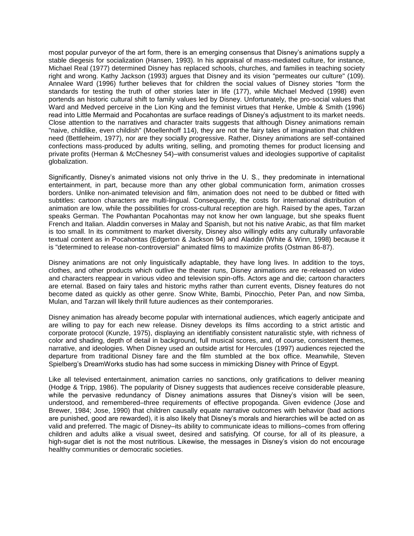most popular purveyor of the art form, there is an emerging consensus that Disney's animations supply a stable diegesis for socialization (Hansen, 1993). In his appraisal of mass-mediated culture, for instance, Michael Real (1977) determined Disney has replaced schools, churches, and families in teaching society right and wrong. Kathy Jackson (1993) argues that Disney and its vision "permeates our culture" (109). Annalee Ward (1996) further believes that for children the social values of Disney stories "form the standards for testing the truth of other stories later in life (177), while Michael Medved (1998) even portends an historic cultural shift to family values led by Disney. Unfortunately, the pro-social values that Ward and Medved perceive in the Lion King and the feminist virtues that Henke, Umble & Smith (1996) read into Little Mermaid and Pocahontas are surface readings of Disney's adjustment to its market needs. Close attention to the narratives and character traits suggests that although Disney animations remain "naive, childlike, even childish" (Moellenhoff 114), they are not the fairy tales of imagination that children need (Bettleheim, 1977), nor are they socially progressive. Rather, Disney animations are self-contained confections mass-produced by adults writing, selling, and promoting themes for product licensing and private profits (Herman & McChesney 54)–with consumerist values and ideologies supportive of capitalist globalization.

Significantly, Disney's animated visions not only thrive in the U. S., they predominate in international entertainment, in part, because more than any other global communication form, animation crosses borders. Unlike non-animated television and film, animation does not need to be dubbed or fitted with subtitles: cartoon characters are multi-lingual. Consequently, the costs for international distribution of animation are low, while the possibilities for cross-cultural reception are high. Raised by the apes, Tarzan speaks German. The Powhantan Pocahontas may not know her own language, but she speaks fluent French and Italian. Aladdin converses in Malay and Spanish, but not his native Arabic, as that film market is too small. In its commitment to market diversity, Disney also willingly edits any culturally unfavorable textual content as in Pocahontas (Edgerton & Jackson 94) and Aladdin (White & Winn, 1998) because it is "determined to release non-controversial" animated films to maximize profits (Ostman 86-87).

Disney animations are not only linguistically adaptable, they have long lives. In addition to the toys, clothes, and other products which outlive the theater runs, Disney animations are re-released on video and characters reappear in various video and television spin-offs. Actors age and die; cartoon characters are eternal. Based on fairy tales and historic myths rather than current events, Disney features do not become dated as quickly as other genre. Snow White, Bambi, Pinocchio, Peter Pan, and now Simba, Mulan, and Tarzan will likely thrill future audiences as their contemporaries.

Disney animation has already become popular with international audiences, which eagerly anticipate and are willing to pay for each new release. Disney develops its films according to a strict artistic and corporate protocol (Kunzle, 1975), displaying an identifiably consistent naturalistic style, with richness of color and shading, depth of detail in background, full musical scores, and, of course, consistent themes, narrative, and ideologies. When Disney used an outside artist for Hercules (1997) audiences rejected the departure from traditional Disney fare and the film stumbled at the box office. Meanwhile, Steven Spielberg's DreamWorks studio has had some success in mimicking Disney with Prince of Egypt.

Like all televised entertainment, animation carries no sanctions, only gratifications to deliver meaning (Hodge & Tripp, 1986). The popularity of Disney suggests that audiences receive considerable pleasure, while the pervasive redundancy of Disney animations assures that Disney's vision will be seen, understood, and remembered–three requirements of effective propoganda. Given evidence (Jose and Brewer, 1984; Jose, 1990) that children causally equate narrative outcomes with behavior (bad actions are punished, good are rewarded), it is also likely that Disney's morals and hierarchies will be acted on as valid and preferred. The magic of Disney–its ability to communicate ideas to millions–comes from offering children and adults alike a visual sweet, desired and satisfying. Of course, for all of its pleasure, a high-sugar diet is not the most nutritious. Likewise, the messages in Disney's vision do not encourage healthy communities or democratic societies.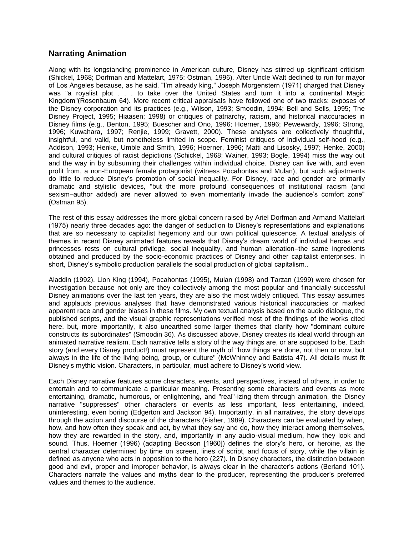## **Narrating Animation**

Along with its longstanding prominence in American culture, Disney has stirred up significant criticism (Shickel, 1968; Dorfman and Mattelart, 1975; Ostman, 1996). After Uncle Walt declined to run for mayor of Los Angeles because, as he said, "I'm already king," Joseph Morgenstern (1971) charged that Disney was "a royalist plot . . . to take over the United States and turn it into a continental Magic Kingdom"(Rosenbaum 64). More recent critical appraisals have followed one of two tracks: exposes of the Disney corporation and its practices (e.g., Wilson, 1993; Smoodin, 1994; Bell and Sells, 1995; The Disney Project, 1995; Hiaasen; 1998) or critiques of patriarchy, racism, and historical inaccuracies in Disney films (e.g., Benton, 1995; Buescher and Ono, 1996; Hoerner, 1996; Pewewardy, 1996; Strong, 1996; Kuwahara, 1997; Renjie, 1999; Gravett, 2000). These analyses are collectively thoughtful, insightful, and valid, but nonetheless limited in scope. Feminist critiques of individual self-hood (e.g., Addison, 1993; Henke, Umble and Smith, 1996; Hoerner, 1996; Matti and Lisosky, 1997; Henke, 2000) and cultural critiques of racist depictions (Schickel, 1968; Wainer, 1993; Bogle, 1994) miss the way out and the way in by subsuming their challenges within individual choice. Disney can live with, and even profit from, a non-European female protagonist (witness Pocahontas and Mulan), but such adjustments do little to reduce Disney's promotion of social inequality. For Disney, race and gender are primarily dramatic and stylistic devices, "but the more profound consequences of institutional racism (and sexism–author added) are never allowed to even momentarily invade the audience's comfort zone" (Ostman 95).

The rest of this essay addresses the more global concern raised by Ariel Dorfman and Armand Mattelart (1975) nearly three decades ago: the danger of seduction to Disney's representations and explanations that are so necessary to capitalist hegemony and our own political quiescence. A textual analysis of themes in recent Disney animated features reveals that Disney's dream world of individual heroes and princesses rests on cultural privilege, social inequality, and human alienation–the same ingredients obtained and produced by the socio-economic practices of Disney and other capitalist enterprises. In short, Disney's symbolic production parallels the social production of global capitalism..

Aladdin (1992), Lion King (1994), Pocahontas (1995), Mulan (1998) and Tarzan (1999) were chosen for investigation because not only are they collectively among the most popular and financially-successful Disney animations over the last ten years, they are also the most widely critiqued. This essay assumes and applauds previous analyses that have demonstrated various historical inaccuracies or marked apparent race and gender biases in these films. My own textual analysis based on the audio dialogue, the published scripts, and the visual graphic representations verified most of the findings of the works cited here, but, more importantly, it also unearthed some larger themes that clarify how "dominant culture constructs its subordinates" (Smoodin 36). As discussed above, Disney creates its ideal world through an animated narrative realism. Each narrative tells a story of the way things are, or are supposed to be. Each story (and every Disney product!) must represent the myth of "how things are done, not then or now, but always in the life of the living being, group, or culture" (McWhinney and Batista 47). All details must fit Disney's mythic vision. Characters, in particular, must adhere to Disney's world view.

Each Disney narrative features some characters, events, and perspectives, instead of others, in order to entertain and to communicate a particular meaning. Presenting some characters and events as more entertaining, dramatic, humorous, or enlightening, and "real"-izing them through animation, the Disney narrative "suppresses" other characters or events as less important, less entertaining, indeed, uninteresting, even boring (Edgerton and Jackson 94). Importantly, in all narratives, the story develops through the action and discourse of the characters (Fisher, 1989). Characters can be evaluated by when, how, and how often they speak and act, by what they say and do, how they interact among themselves, how they are rewarded in the story, and, importantly in any audio-visual medium, how they look and sound. Thus, Hoerner (1996) (adapting Beckson [1960]) defines the story's hero, or heroine, as the central character determined by time on screen, lines of script, and focus of story, while the villain is defined as anyone who acts in opposition to the hero (227). In Disney characters, the distinction between good and evil, proper and improper behavior, is always clear in the character's actions (Berland 101). Characters narrate the values and myths dear to the producer, representing the producer's preferred values and themes to the audience.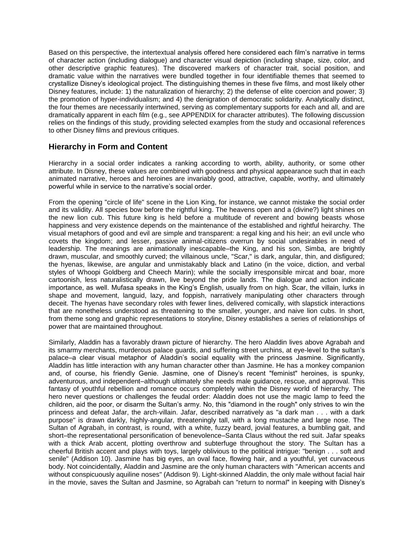Based on this perspective, the intertextual analysis offered here considered each film's narrative in terms of character action (including dialogue) and character visual depiction (including shape, size, color, and other descriptive graphic features). The discovered markers of character trait, social position, and dramatic value within the narratives were bundled together in four identifiable themes that seemed to crystallize Disney's ideological project. The distinguishing themes in these five films, and most likely other Disney features, include: 1) the naturalization of hierarchy; 2) the defense of elite coercion and power; 3) the promotion of hyper-individualism; and 4) the denigration of democratic solidarity. Analytically distinct, the four themes are necessarily intertwined, serving as complementary supports for each and all, and are dramatically apparent in each film (e.g., see APPENDIX for character attributes). The following discussion relies on the findings of this study, providing selected examples from the study and occasional references to other Disney films and previous critiques.

## **Hierarchy in Form and Content**

Hierarchy in a social order indicates a ranking according to worth, ability, authority, or some other attribute. In Disney, these values are combined with goodness and physical appearance such that in each animated narrative, heroes and heroines are invariably good, attractive, capable, worthy, and ultimately powerful while in service to the narrative's social order.

From the opening "circle of life" scene in the Lion King, for instance, we cannot mistake the social order and its validity. All species bow before the rightful king. The heavens open and a (divine?) light shines on the new lion cub. This future king is held before a multitude of reverent and bowing beasts whose happiness and very existence depends on the maintenance of the established and rightful heirarchy. The visual metaphors of good and evil are simple and transparent: a regal king and his heir; an evil uncle who covets the kingdom; and lesser, passive animal-citizens overrun by social undesirables in need of leadership. The meanings are animationally inescapable–the King, and his son, Simba, are brightly drawn, muscular, and smoothly curved; the villainous uncle, "Scar," is dark, angular, thin, and disfigured; the hyenas, likewise, are angular and unmistakably black and Latino (in the voice, diction, and verbal styles of Whoopi Goldberg and Cheech Marin); while the socially irresponsible mircat and boar, more cartoonish, less naturalistically drawn, live beyond the pride lands. The dialogue and action indicate importance, as well. Mufasa speaks in the King's English, usually from on high. Scar, the villain, lurks in shape and movement, languid, lazy, and foppish, narratively manipulating other characters through deceit. The hyenas have secondary roles with fewer lines, delivered comically, with slapstick interactions that are nonetheless understood as threatening to the smaller, younger, and naive lion cubs. In short, from theme song and graphic representations to storyline, Disney establishes a series of relationships of power that are maintained throughout.

Similarly, Aladdin has a favorably drawn picture of hierarchy. The hero Aladdin lives above Agrabah and its smarmy merchants, murderous palace guards, and suffering street urchins, at eye-level to the sultan's palace–a clear visual metaphor of Aladdin's social equality with the princess Jasmine. Significantly, Aladdin has little interaction with any human character other than Jasmine. He has a monkey companion and, of course, his friendly Genie. Jasmine, one of Disney's recent "feminist" heroines, is spunky, adventurous, and independent–although ultimately she needs male guidance, rescue, and approval. This fantasy of youthful rebellion and romance occurs completely within the Disney world of hierarchy. The hero never questions or challenges the feudal order: Aladdin does not use the magic lamp to feed the children, aid the poor, or disarm the Sultan's army. No, this "diamond in the rough" only strives to win the princess and defeat Jafar, the arch-villain. Jafar, described narratively as "a dark man . . . with a dark purpose" is drawn darkly, highly-angular, threateningly tall, with a long mustache and large nose. The Sultan of Agrabah, in contrast, is round, with a white, fuzzy beard, jovial features, a bumbling gait, and short–the representational personification of benevolence–Santa Claus without the red suit. Jafar speaks with a thick Arab accent, plotting overthrow and subterfuge throughout the story. The Sultan has a cheerful British accent and plays with toys, largely oblivious to the political intrigue: "benign . . . soft and senile" (Addison 10). Jasmine has big eyes, an oval face, flowing hair, and a youthful, yet curvaceous body. Not coincidentally, Aladdin and Jasmine are the only human characters with "American accents and without conspicuously aquiline noses" (Addison 9). Light-skinned Aladdin, the only male without facial hair in the movie, saves the Sultan and Jasmine, so Agrabah can "return to normal" in keeping with Disney's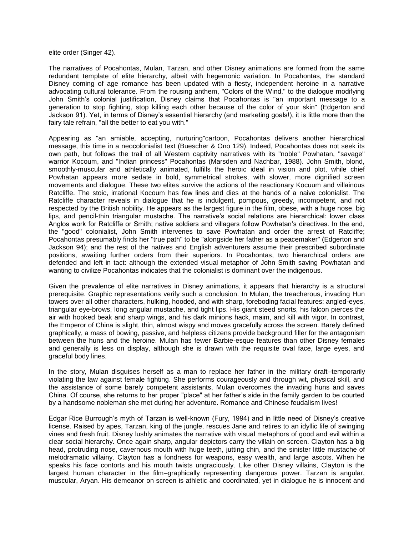elite order (Singer 42).

The narratives of Pocahontas, Mulan, Tarzan, and other Disney animations are formed from the same redundant template of elite hierarchy, albeit with hegemonic variation. In Pocahontas, the standard Disney coming of age romance has been updated with a fiesty, independent heroine in a narrative advocating cultural tolerance. From the rousing anthem, "Colors of the Wind," to the dialogue modifying John Smith's colonial justification, Disney claims that Pocahontas is "an important message to a generation to stop fighting, stop killing each other because of the color of your skin" (Edgerton and Jackson 91). Yet, in terms of Disney's essential hierarchy (and marketing goals!), it is little more than the fairy tale refrain, "all the better to eat you with."

Appearing as "an amiable, accepting, nurturing"cartoon, Pocahontas delivers another hierarchical message, this time in a neocolonialist text (Buescher & Ono 129). Indeed, Pocahontas does not seek its own path, but follows the trail of all Western captivity narratives with its "noble" Powhatan, "savage" warrior Kocoum, and "Indian princess" Pocahontas (Marsden and Nachbar, 1988). John Smith, blond, smoothly-muscular and athletically animated, fulfills the heroic ideal in vision and plot, while chief Powhatan appears more sedate in bold, symmetrical strokes, with slower, more dignified screen movements and dialogue. These two elites survive the actions of the reactionary Kocuum and villainous Ratcliffe. The stoic, irrational Kocoum has few lines and dies at the hands of a naive colonialist. The Ratcliffe character reveals in dialogue that he is indulgent, pompous, greedy, incompetent, and not respected by the British nobility. He appears as the largest figure in the film, obese, with a huge nose, big lips, and pencil-thin triangular mustache. The narrative's social relations are hierarchical: lower class Anglos work for Ratcliffe or Smith; native soldiers and villagers follow Powhatan's directives. In the end, the "good" colonialist, John Smith intervenes to save Powhatan and order the arrest of Ratcliffe; Pocahontas presumably finds her "true path" to be "alongside her father as a peacemaker" (Edgerton and Jackson 94); and the rest of the natives and English adventurers assume their prescribed subordinate positions, awaiting further orders from their superiors. In Pocahontas, two hierarchical orders are defended and left in tact: although the extended visual metaphor of John Smith saving Powhatan and wanting to civilize Pocahontas indicates that the colonialist is dominant over the indigenous.

Given the prevalence of elite narratives in Disney animations, it appears that hierarchy is a structural prerequisite. Graphic representations verify such a conclusion. In Mulan, the treacherous, invading Hun towers over all other characters, hulking, hooded, and with sharp, foreboding facial features: angled-eyes, triangular eye-brows, long angular mustache, and tight lips. His giant steed snorts, his falcon pierces the air with hooked beak and sharp wings, and his dark minions hack, maim, and kill with vigor. In contrast, the Emperor of China is slight, thin, almost wispy and moves gracefully across the screen. Barely defined graphically, a mass of bowing, passive, and helpless citizens provide background filler for the antagonism between the huns and the heroine. Mulan has fewer Barbie-esque features than other Disney females and generally is less on display, although she is drawn with the requisite oval face, large eyes, and graceful body lines.

In the story, Mulan disguises herself as a man to replace her father in the military draft–temporarily violating the law against female fighting. She performs courageously and through wit, physical skill, and the assistance of some barely competent assistants, Mulan overcomes the invading huns and saves China. Of course, she returns to her proper "place" at her father's side in the family garden to be courted by a handsome nobleman she met during her adventure. Romance and Chinese feudalism lives!

Edgar Rice Burrough's myth of Tarzan is well-known (Fury, 1994) and in little need of Disney's creative license. Raised by apes, Tarzan, king of the jungle, rescues Jane and retires to an idyllic life of swinging vines and fresh fruit. Disney lushly animates the narrative with visual metaphors of good and evil within a clear social hierarchy. Once again sharp, angular depictors carry the villain on screen. Clayton has a big head, protruding nose, cavernous mouth with huge teeth, jutting chin, and the sinister little mustache of melodramatic villainy. Clayton has a fondness for weapons, easy wealth, and large ascots. When he speaks his face contorts and his mouth twists ungraciously. Like other Disney villains, Clayton is the largest human character in the film–graphically representing dangerous power. Tarzan is angular, muscular, Aryan. His demeanor on screen is athletic and coordinated, yet in dialogue he is innocent and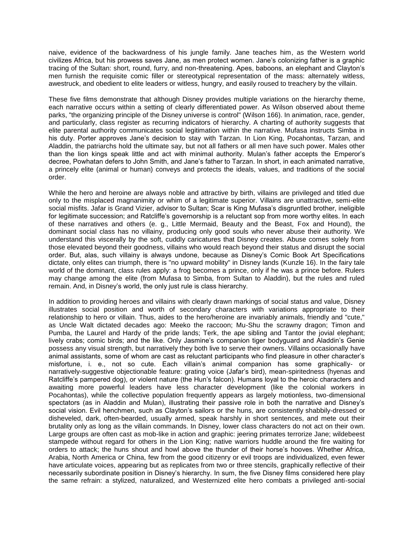naive, evidence of the backwardness of his jungle family. Jane teaches him, as the Western world civilizes Africa, but his prowess saves Jane, as men protect women. Jane's colonizing father is a graphic tracing of the Sultan: short, round, furry, and non-threatening. Apes, baboons, an elephant and Clayton's men furnish the requisite comic filler or stereotypical representation of the mass: alternately witless, awestruck, and obedient to elite leaders or witless, hungry, and easily roused to treachery by the villain.

These five films demonstrate that although Disney provides multiple variations on the hierarchy theme, each narrative occurs within a setting of clearly differentiated power. As Wilson observed about theme parks, "the organizing principle of the Disney universe is control" (Wilson 166). In animation, race, gender, and particularly, class register as recurring indicators of hierarchy. A charting of authority suggests that elite parental authority communicates social legitimation within the narrative. Mufasa instructs Simba in his duty. Porter approves Jane's decision to stay with Tarzan. In Lion King, Pocahontas, Tarzan, and Aladdin, the patriarchs hold the ultimate say, but not all fathers or all men have such power. Males other than the lion kings speak little and act with minimal authority. Mulan's father accepts the Emperor's decree, Powhatan defers to John Smith, and Jane's father to Tarzan. In short, in each animated narrative, a princely elite (animal or human) conveys and protects the ideals, values, and traditions of the social order.

While the hero and heroine are always noble and attractive by birth, villains are privileged and titled due only to the misplaced magnanimity or whim of a legitimate superior. Villains are unattractive, semi-elite social misfits. Jafar is Grand Vizier, advisor to Sultan; Scar is King Mufasa's disgruntled brother, ineligible for legitimate succession; and Ratcliffe's governorship is a reluctant sop from more worthy elites. In each of these narratives and others (e. g., Little Mermaid, Beauty and the Beast, Fox and Hound), the dominant social class has no villainy, producing only good souls who never abuse their authority. We understand this viscerally by the soft, cuddly caricatures that Disney creates. Abuse comes solely from those elevated beyond their goodness, villains who would reach beyond their status and disrupt the social order. But, alas, such villainy is always undone, because as Disney's Comic Book Art Specifications dictate, only elites can triumph, there is "no upward mobility" in Disney lands (Kunzle 16). In the fairy tale world of the dominant, class rules apply: a frog becomes a prince, only if he was a prince before. Rulers may change among the elite (from Mufasa to Simba, from Sultan to Aladdin), but the rules and ruled remain. And, in Disney's world, the only just rule is class hierarchy.

In addition to providing heroes and villains with clearly drawn markings of social status and value, Disney illustrates social position and worth of secondary characters with variations appropriate to their relationship to hero or villain. Thus, aides to the hero/heroine are invariably animals, friendly and "cute," as Uncle Walt dictated decades ago: Meeko the raccoon; Mu-Shu the scrawny dragon; Timon and Pumba, the Laurel and Hardy of the pride lands; Terk, the ape sibling and Tantor the jovial elephant; lively crabs; comic birds; and the like. Only Jasmine's companion tiger bodyguard and Aladdin's Genie possess any visual strength, but narratively they both live to serve their owners. Villains occasionally have animal assistants, some of whom are cast as reluctant participants who find pleasure in other character's misfortune, i. e., not so cute. Each villain's animal companion has some graphically- or narratively-suggestive objectionable feature: grating voice (Jafar's bird), mean-spiritedness (hyenas and Ratcliffe's pampered dog), or violent nature (the Hun's falcon). Humans loyal to the heroic characters and awaiting more powerful leaders have less character development (like the colonial workers in Pocahontas), while the collective population frequently appears as largely motionless, two-dimensional spectators (as in Aladdin and Mulan), illustrating their passive role in both the narrative and Disney's social vision. Evil henchmen, such as Clayton's sailors or the huns, are consistently shabbily-dressed or disheveled, dark, often-bearded, usually armed, speak harshly in short sentences, and mete out their brutality only as long as the villain commands. In Disney, lower class characters do not act on their own. Large groups are often cast as mob-like in action and graphic: jeering primates terrorize Jane; wildebeest stampede without regard for others in the Lion King; native warriors huddle around the fire waiting for orders to attack; the huns shout and howl above the thunder of their horse's hooves. Whether Africa, Arabia, North America or China, few from the good citizenry or evil troops are individualized, even fewer have articulate voices, appearing but as replicates from two or three stencils, graphically reflective of their necessarily subordinate position in Disney's hierarchy. In sum, the five Disney films considered here play the same refrain: a stylized, naturalized, and Westernized elite hero combats a privileged anti-social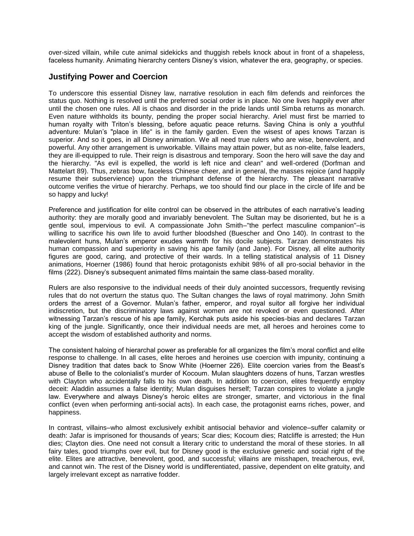over-sized villain, while cute animal sidekicks and thuggish rebels knock about in front of a shapeless, faceless humanity. Animating hierarchy centers Disney's vision, whatever the era, geography, or species.

## **Justifying Power and Coercion**

To underscore this essential Disney law, narrative resolution in each film defends and reinforces the status quo. Nothing is resolved until the preferred social order is in place. No one lives happily ever after until the chosen one rules. All is chaos and disorder in the pride lands until Simba returns as monarch. Even nature withholds its bounty, pending the proper social hierarchy. Ariel must first be married to human royalty with Triton's blessing, before aquatic peace returns. Saving China is only a youthful adventure: Mulan's "place in life" is in the family garden. Even the wisest of apes knows Tarzan is superior. And so it goes, in all Disney animation. We all need true rulers who are wise, benevolent, and powerful. Any other arrangement is unworkable. Villains may attain power, but as non-elite, false leaders, they are ill-equipped to rule. Their reign is disastrous and temporary. Soon the hero will save the day and the hierarchy. "As evil is expelled, the world is left nice and clean" and well-ordered (Dorfman and Mattelart 89). Thus, zebras bow, faceless Chinese cheer, and in general, the masses rejoice (and happily resume their subservience) upon the triumphant defense of the hierarchy. The pleasant narrative outcome verifies the virtue of hierarchy. Perhaps, we too should find our place in the circle of life and be so happy and lucky!

Preference and justification for elite control can be observed in the attributes of each narrative's leading authority: they are morally good and invariably benevolent. The Sultan may be disoriented, but he is a gentle soul, impervious to evil. A compassionate John Smith–"the perfect masculine companion"–is willing to sacrifice his own life to avoid further bloodshed (Buescher and Ono 140). In contrast to the malevolent huns, Mulan's emperor exudes warmth for his docile subjects. Tarzan demonstrates his human compassion and superiority in saving his ape family (and Jane). For Disney, all elite authority figures are good, caring, and protective of their wards. In a telling statistical analysis of 11 Disney animations, Hoerner (1986) found that heroic protagonists exhibit 98% of all pro-social behavior in the films (222). Disney's subsequent animated films maintain the same class-based morality.

Rulers are also responsive to the individual needs of their duly anointed successors, frequently revising rules that do not overturn the status quo. The Sultan changes the laws of royal matrimony. John Smith orders the arrest of a Governor. Mulan's father, emperor, and royal suitor all forgive her individual indiscretion, but the discriminatory laws against women are not revoked or even questioned. After witnessing Tarzan's rescue of his ape family, Kerchak puts aside his species-bias and declares Tarzan king of the jungle. Significantly, once their individual needs are met, all heroes and heroines come to accept the wisdom of established authority and norms.

The consistent haloing of hierarchal power as preferable for all organizes the film's moral conflict and elite response to challenge. In all cases, elite heroes and heroines use coercion with impunity, continuing a Disney tradition that dates back to Snow White (Hoerner 226). Elite coercion varies from the Beast's abuse of Belle to the colonialist's murder of Kocoum. Mulan slaughters dozens of huns, Tarzan wrestles with Clayton who accidentally falls to his own death. In addition to coercion, elites frequently employ deceit: Aladdin assumes a false identity; Mulan disguises herself; Tarzan conspires to violate a jungle law. Everywhere and always Disney's heroic elites are stronger, smarter, and victorious in the final conflict (even when performing anti-social acts). In each case, the protagonist earns riches, power, and happiness.

In contrast, villains–who almost exclusively exhibit antisocial behavior and violence–suffer calamity or death: Jafar is imprisoned for thousands of years; Scar dies; Kocoum dies; Ratcliffe is arrested; the Hun dies; Clayton dies. One need not consult a literary critic to understand the moral of these stories. In all fairy tales, good triumphs over evil, but for Disney good is the exclusive genetic and social right of the elite. Elites are attractive, benevolent, good, and successful; villains are misshapen, treacherous, evil, and cannot win. The rest of the Disney world is undifferentiated, passive, dependent on elite gratuity, and largely irrelevant except as narrative fodder.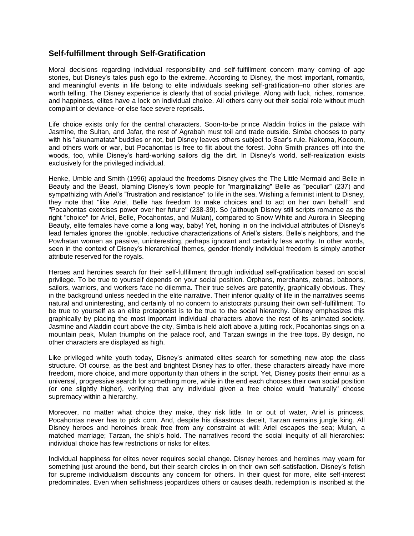## **Self-fulfillment through Self-Gratification**

Moral decisions regarding individual responsibility and self-fulfillment concern many coming of age stories, but Disney's tales push ego to the extreme. According to Disney, the most important, romantic, and meaningful events in life belong to elite individuals seeking self-gratification–no other stories are worth telling. The Disney experience is clearly that of social privilege. Along with luck, riches, romance, and happiness, elites have a lock on individual choice. All others carry out their social role without much complaint or deviance–or else face severe reprisals.

Life choice exists only for the central characters. Soon-to-be prince Aladdin frolics in the palace with Jasmine, the Sultan, and Jafar, the rest of Agrabah must toil and trade outside. Simba chooses to party with his "akunamatata" buddies or not, but Disney leaves others subject to Scar's rule. Nakoma, Kocoum, and others work or war, but Pocahontas is free to flit about the forest. John Smith prances off into the woods, too, while Disney's hard-working sailors dig the dirt. In Disney's world, self-realization exists exclusively for the privileged individual.

Henke, Umble and Smith (1996) applaud the freedoms Disney gives the The Little Mermaid and Belle in Beauty and the Beast, blaming Disney's town people for "marginalizing" Belle as "peculiar" (237) and sympathizing with Ariel's "frustration and resistance" to life in the sea. Wishing a feminist intent to Disney, they note that "like Ariel, Belle has freedom to make choices and to act on her own behalf" and "Pocahontas exercises power over her future" (238-39). So (although Disney still scripts romance as the right "choice" for Ariel, Belle, Pocahontas, and Mulan), compared to Snow White and Aurora in Sleeping Beauty, elite females have come a long way, baby! Yet, honing in on the individual attributes of Disney's lead females ignores the ignoble, reductive characterizations of Ariel's sisters, Belle's neighbors, and the Powhatan women as passive, uninteresting, perhaps ignorant and certainly less worthy. In other words, seen in the context of Disney's hierarchical themes, gender-friendly individual freedom is simply another attribute reserved for the royals.

Heroes and heroines search for their self-fulfillment through individual self-gratification based on social privilege. To be true to yourself depends on your social position. Orphans, merchants, zebras, baboons, sailors, warriors, and workers face no dilemma. Their true selves are patently, graphically obvious. They in the background unless needed in the elite narrative. Their inferior quality of life in the narratives seems natural and uninteresting, and certainly of no concern to aristocrats pursuing their own self-fulfillment. To be true to yourself as an elite protagonist is to be true to the social hierarchy. Disney emphasizes this graphically by placing the most important individual characters above the rest of its animated society. Jasmine and Aladdin court above the city, Simba is held aloft above a jutting rock, Pocahontas sings on a mountain peak, Mulan triumphs on the palace roof, and Tarzan swings in the tree tops. By design, no other characters are displayed as high.

Like privileged white youth today, Disney's animated elites search for something new atop the class structure. Of course, as the best and brightest Disney has to offer, these characters already have more freedom, more choice, and more opportunity than others in the script. Yet, Disney posits their ennui as a universal, progressive search for something more, while in the end each chooses their own social position (or one slightly higher), verifying that any individual given a free choice would "naturally" choose supremacy within a hierarchy.

Moreover, no matter what choice they make, they risk little. In or out of water, Ariel is princess. Pocahontas never has to pick corn. And, despite his disastrous deceit, Tarzan remains jungle king. All Disney heroes and heroines break free from any constraint at will: Ariel escapes the sea; Mulan, a matched marriage; Tarzan, the ship's hold. The narratives record the social inequity of all hierarchies: individual choice has few restrictions or risks for elites.

Individual happiness for elites never requires social change. Disney heroes and heroines may yearn for something just around the bend, but their search circles in on their own self-satisfaction. Disney's fetish for supreme individualism discounts any concern for others. In their quest for more, elite self-interest predominates. Even when selfishness jeopardizes others or causes death, redemption is inscribed at the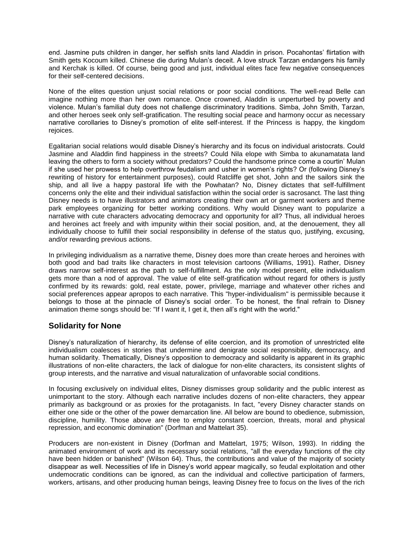end. Jasmine puts children in danger, her selfish snits land Aladdin in prison. Pocahontas' flirtation with Smith gets Kocoum killed. Chinese die during Mulan's deceit. A love struck Tarzan endangers his family and Kerchak is killed. Of course, being good and just, individual elites face few negative consequences for their self-centered decisions.

None of the elites question unjust social relations or poor social conditions. The well-read Belle can imagine nothing more than her own romance. Once crowned, Aladdin is unperturbed by poverty and violence. Mulan's familial duty does not challenge discriminatory traditions. Simba, John Smith, Tarzan, and other heroes seek only self-gratification. The resulting social peace and harmony occur as necessary narrative corollaries to Disney's promotion of elite self-interest. If the Princess is happy, the kingdom rejoices.

Egalitarian social relations would disable Disney's hierarchy and its focus on individual aristocrats. Could Jasmine and Aladdin find happiness in the streets? Could Nila elope with Simba to akunamatata land leaving the others to form a society without predators? Could the handsome prince come a courtin' Mulan if she used her prowess to help overthrow feudalism and usher in women's rights? Or (following Disney's rewriting of history for entertainment purposes), could Ratcliffe get shot, John and the sailors sink the ship, and all live a happy pastoral life with the Powhatan? No, Disney dictates that self-fulfillment concerns only the elite and their individual satisfaction within the social order is sacrosanct. The last thing Disney needs is to have illustrators and animators creating their own art or garment workers and theme park employees organizing for better working conditions. Why would Disney want to popularize a narrative with cute characters advocating democracy and opportunity for all? Thus, all individual heroes and heroines act freely and with impunity within their social position, and, at the denouement, they all individually choose to fulfill their social responsibility in defense of the status quo, justifying, excusing, and/or rewarding previous actions.

In privileging individualism as a narrative theme, Disney does more than create heroes and heroines with both good and bad traits like characters in most television cartoons (Williams, 1991). Rather, Disney draws narrow self-interest as the path to self-fulfillment. As the only model present, elite individualism gets more than a nod of approval. The value of elite self-gratification without regard for others is justly confirmed by its rewards: gold, real estate, power, privilege, marriage and whatever other riches and social preferences appear apropos to each narrative. This "hyper-individualism" is permissible because it belongs to those at the pinnacle of Disney's social order. To be honest, the final refrain to Disney animation theme songs should be: "If I want it, I get it, then all's right with the world."

## **Solidarity for None**

Disney's naturalization of hierarchy, its defense of elite coercion, and its promotion of unrestricted elite individualism coalesces in stories that undermine and denigrate social responsibility, democracy, and human solidarity. Thematically, Disney's opposition to democracy and solidarity is apparent in its graphic illustrations of non-elite characters, the lack of dialogue for non-elite characters, its consistent slights of group interests, and the narrative and visual naturalization of unfavorable social conditions.

In focusing exclusively on individual elites, Disney dismisses group solidarity and the public interest as unimportant to the story. Although each narrative includes dozens of non-elite characters, they appear primarily as background or as proxies for the protaganists. In fact, "every Disney character stands on either one side or the other of the power demarcation line. All below are bound to obedience, submission, discipline, humility. Those above are free to employ constant coercion, threats, moral and physical repression, and economic domination" (Dorfman and Mattelart 35).

Producers are non-existent in Disney (Dorfman and Mattelart, 1975; Wilson, 1993). In ridding the animated environment of work and its necessary social relations, "all the everyday functions of the city have been hidden or banished" (Wilson 64). Thus, the contributions and value of the majority of society disappear as well. Necessities of life in Disney's world appear magically, so feudal exploitation and other undemocratic conditions can be ignored, as can the individual and collective participation of farmers, workers, artisans, and other producing human beings, leaving Disney free to focus on the lives of the rich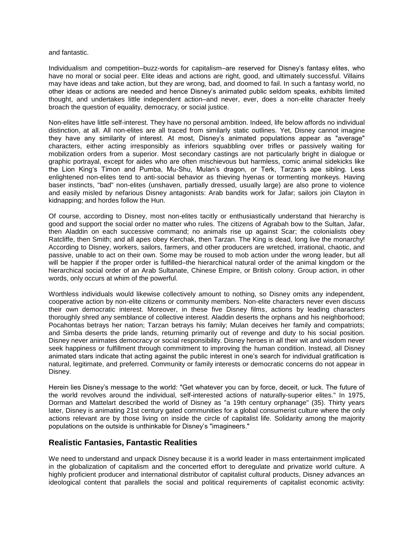#### and fantastic.

Individualism and competition–buzz-words for capitalism–are reserved for Disney's fantasy elites, who have no moral or social peer. Elite ideas and actions are right, good, and ultimately successful. Villains may have ideas and take action, but they are wrong, bad, and doomed to fail. In such a fantasy world, no other ideas or actions are needed and hence Disney's animated public seldom speaks, exhibits limited thought, and undertakes little independent action–and never, ever, does a non-elite character freely broach the question of equality, democracy, or social justice.

Non-elites have little self-interest. They have no personal ambition. Indeed, life below affords no individual distinction, at all. All non-elites are all traced from similarly static outlines. Yet, Disney cannot imagine they have any similarity of interest. At most, Disney's animated populations appear as "average" characters, either acting irresponsibly as inferiors squabbling over trifles or passively waiting for mobilization orders from a superior. Most secondary castings are not particularly bright in dialogue or graphic portrayal, except for aides who are often mischievous but harmless, comic animal sidekicks like the Lion King's Timon and Pumba, Mu-Shu, Mulan's dragon, or Terk, Tarzan's ape sibling. Less enlightened non-elites tend to anti-social behavior as thieving hyenas or tormenting monkeys. Having baser instincts, "bad" non-elites (unshaven, partially dressed, usually large) are also prone to violence and easily misled by nefarious Disney antagonists: Arab bandits work for Jafar; sailors join Clayton in kidnapping; and hordes follow the Hun.

Of course, according to Disney, most non-elites tacitly or enthusiastically understand that hierarchy is good and support the social order no matter who rules. The citizens of Agrabah bow to the Sultan, Jafar, then Aladdin on each successive command; no animals rise up against Scar; the colonialists obey Ratcliffe, then Smith; and all apes obey Kerchak, then Tarzan. The King is dead, long live the monarchy! According to Disney, workers, sailors, farmers, and other producers are wretched, irrational, chaotic, and passive, unable to act on their own. Some may be roused to mob action under the wrong leader, but all will be happier if the proper order is fulfilled–the hierarchical natural order of the animal kingdom or the hierarchical social order of an Arab Sultanate, Chinese Empire, or British colony. Group action, in other words, only occurs at whim of the powerful.

Worthless individuals would likewise collectively amount to nothing, so Disney omits any independent, cooperative action by non-elite citizens or community members. Non-elite characters never even discuss their own democratic interest. Moreover, in these five Disney films, actions by leading characters thoroughly shred any semblance of collective interest. Aladdin deserts the orphans and his neighborhood; Pocahontas betrays her nation; Tarzan betrays his family; Mulan deceives her family and compatriots; and Simba deserts the pride lands, returning primarily out of revenge and duty to his social position. Disney never animates democracy or social responsibility. Disney heroes in all their wit and wisdom never seek happiness or fulfillment through commitment to improving the human condition. Instead, all Disney animated stars indicate that acting against the public interest in one's search for individual gratification is natural, legitimate, and preferred. Community or family interests or democratic concerns do not appear in Disney.

Herein lies Disney's message to the world: "Get whatever you can by force, deceit, or luck. The future of the world revolves around the individual, self-interested actions of naturally-superior elites." In 1975, Dorman and Mattelart described the world of Disney as "a 19th century orphanage" (35). Thirty years later, Disney is animating 21st century gated communities for a global consumerist culture where the only actions relevant are by those living on inside the circle of capitalist life. Solidarity among the majority populations on the outside is unthinkable for Disney's "imagineers."

#### **Realistic Fantasies, Fantastic Realities**

We need to understand and unpack Disney because it is a world leader in mass entertainment implicated in the globalization of capitalism and the concerted effort to deregulate and privatize world culture. A highly proficient producer and international distributor of capitalist cultural products, Disney advances an ideological content that parallels the social and political requirements of capitalist economic activity: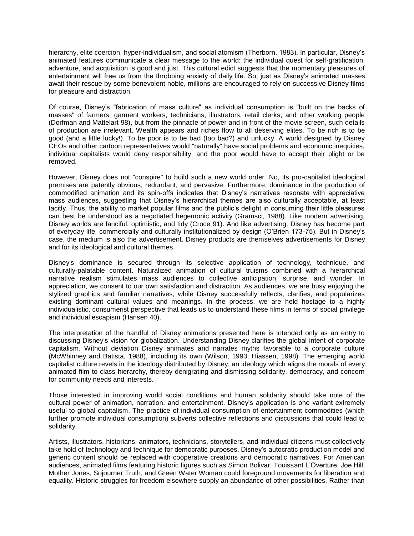hierarchy, elite coercion, hyper-individualism, and social atomism (Therborn, 1983). In particular, Disney's animated features communicate a clear message to the world: the individual quest for self-gratification, adventure, and acquisition is good and just. This cultural edict suggests that the momentary pleasures of entertainment will free us from the throbbing anxiety of daily life. So, just as Disney's animated masses await their rescue by some benevolent noble, millions are encouraged to rely on successive Disney films for pleasure and distraction.

Of course, Disney's "fabrication of mass culture" as individual consumption is "built on the backs of masses" of farmers, garment workers, technicians, illustrators, retail clerks, and other working people (Dorfman and Mattelart 98), but from the pinnacle of power and in front of the movie screen, such details of production are irrelevant. Wealth appears and riches flow to all deserving elites. To be rich is to be good (and a little lucky!). To be poor is to be bad (too bad?) and unlucky. A world designed by Disney CEOs and other cartoon representatives would "naturally" have social problems and economic inequities, individual capitalists would deny responsibility, and the poor would have to accept their plight or be removed.

However, Disney does not "conspire" to build such a new world order. No, its pro-capitalist ideological premises are patently obvious, redundant, and pervasive. Furthermore, dominance in the production of commodified animation and its spin-offs indicates that Disney's narratives resonate with appreciative mass audiences, suggesting that Disney's hierarchical themes are also culturally acceptable, at least tacitly. Thus, the ability to market popular films and the public's delight in consuming their little pleasures can best be understood as a negotiated hegemonic activity (Gramsci, 1988). Like modern advertising, Disney worlds are fanciful, optimistic, and tidy (Croce 91). And like advertising, Disney has become part of everyday life, commercially and culturally institutionalized by design (O'Brien 173-75). But in Disney's case, the medium is also the advertisement. Disney products are themselves advertisements for Disney and for its ideological and cultural themes.

Disney's dominance is secured through its selective application of technology, technique, and culturally-palatable content. Naturalized animation of cultural truisms combined with a hierarchical narrative realism stimulates mass audiences to collective anticipation, surprise, and wonder. In appreciation, we consent to our own satisfaction and distraction. As audiences, we are busy enjoying the stylized graphics and familiar narratives, while Disney successfully reflects, clarifies, and popularizes existing dominant cultural values and meanings. In the process, we are held hostage to a highly individualistic, consumerist perspective that leads us to understand these films in terms of social privilege and individual escapism (Hansen 40).

The interpretation of the handful of Disney animations presented here is intended only as an entry to discussing Disney's vision for globalization. Understanding Disney clarifies the global intent of corporate capitalism. Without deviation Disney animates and narrates myths favorable to a corporate culture (McWhinney and Batista, 1988), including its own (Wilson, 1993; Hiassen, 1998). The emerging world capitalist culture revels in the ideology distributed by Disney, an ideology which aligns the morals of every animated film to class hierarchy, thereby denigrating and dismissing solidarity, democracy, and concern for community needs and interests.

Those interested in improving world social conditions and human solidarity should take note of the cultural power of animation, narration, and entertainment. Disney's application is one variant extremely useful to global capitalism. The practice of individual consumption of entertainment commodities (which further promote individual consumption) subverts collective reflections and discussions that could lead to solidarity.

Artists, illustrators, historians, animators, technicians, storytellers, and individual citizens must collectively take hold of technology and technique for democratic purposes. Disney's autocratic production model and generic content should be replaced with cooperative creations and democratic narratives. For American audiences, animated films featuring historic figures such as Simon Bolivar, Touissant L'Overture, Joe Hill, Mother Jones, Sojourner Truth, and Green Water Woman could foreground movements for liberation and equality. Historic struggles for freedom elsewhere supply an abundance of other possibilities. Rather than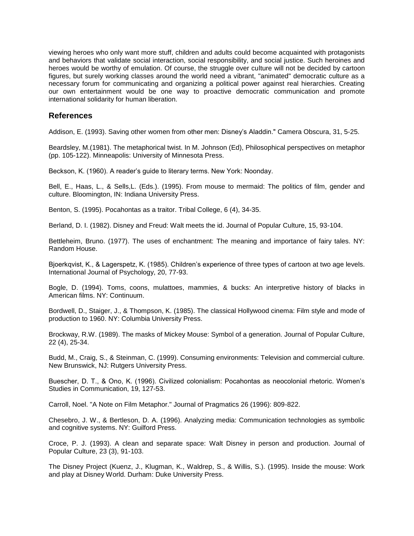viewing heroes who only want more stuff, children and adults could become acquainted with protagonists and behaviors that validate social interaction, social responsibility, and social justice. Such heroines and heroes would be worthy of emulation. Of course, the struggle over culture will not be decided by cartoon figures, but surely working classes around the world need a vibrant, "animated" democratic culture as a necessary forum for communicating and organizing a political power against real hierarchies. Creating our own entertainment would be one way to proactive democratic communication and promote international solidarity for human liberation.

#### **References**

Addison, E. (1993). Saving other women from other men: Disney's Aladdin." Camera Obscura, 31, 5-25.

Beardsley, M.(1981). The metaphorical twist. In M. Johnson (Ed), Philosophical perspectives on metaphor (pp. 105-122). Minneapolis: University of Minnesota Press.

Beckson, K. (1960). A reader's guide to literary terms. New York: Noonday.

Bell, E., Haas, L., & Sells,L. (Eds.). (1995). From mouse to mermaid: The politics of film, gender and culture. Bloomington, IN: Indiana University Press.

Benton, S. (1995). Pocahontas as a traitor. Tribal College, 6 (4), 34-35.

Berland, D. I. (1982). Disney and Freud: Walt meets the id. Journal of Popular Culture, 15, 93-104.

Bettleheim, Bruno. (1977). The uses of enchantment: The meaning and importance of fairy tales. NY: Random House.

Bjoerkqvist, K., & Lagerspetz, K. (1985). Children's experience of three types of cartoon at two age levels. International Journal of Psychology, 20, 77-93.

Bogle, D. (1994). Toms, coons, mulattoes, mammies, & bucks: An interpretive history of blacks in American films. NY: Continuum.

Bordwell, D., Staiger, J., & Thompson, K. (1985). The classical Hollywood cinema: Film style and mode of production to 1960. NY: Columbia University Press.

Brockway, R.W. (1989). The masks of Mickey Mouse: Symbol of a generation. Journal of Popular Culture, 22 (4), 25-34.

Budd, M., Craig, S., & Steinman, C. (1999). Consuming environments: Television and commercial culture. New Brunswick, NJ: Rutgers University Press.

Buescher, D. T., & Ono, K. (1996). Civilized colonialism: Pocahontas as neocolonial rhetoric. Women's Studies in Communication, 19, 127-53.

Carroll, Noel. "A Note on Film Metaphor." Journal of Pragmatics 26 (1996): 809-822.

Chesebro, J. W., & Bertleson, D. A. (1996). Analyzing media: Communication technologies as symbolic and cognitive systems. NY: Guilford Press.

Croce, P. J. (1993). A clean and separate space: Walt Disney in person and production. Journal of Popular Culture, 23 (3), 91-103.

The Disney Project (Kuenz, J., Klugman, K., Waldrep, S., & Willis, S.). (1995). Inside the mouse: Work and play at Disney World. Durham: Duke University Press.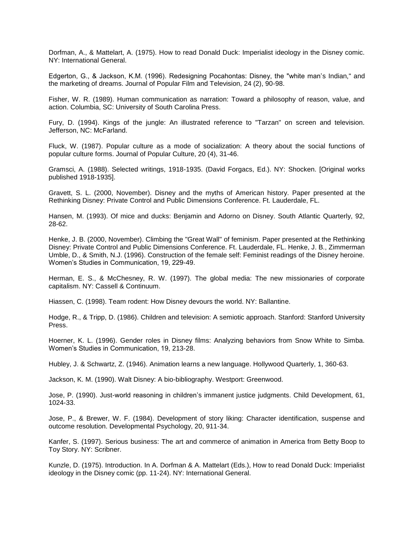Dorfman, A., & Mattelart, A. (1975). How to read Donald Duck: Imperialist ideology in the Disney comic. NY: International General.

Edgerton, G., & Jackson, K.M. (1996). Redesigning Pocahontas: Disney, the "white man's Indian," and the marketing of dreams. Journal of Popular Film and Television, 24 (2), 90-98.

Fisher, W. R. (1989). Human communication as narration: Toward a philosophy of reason, value, and action. Columbia, SC: University of South Carolina Press.

Fury, D. (1994). Kings of the jungle: An illustrated reference to "Tarzan" on screen and television. Jefferson, NC: McFarland.

Fluck, W. (1987). Popular culture as a mode of socialization: A theory about the social functions of popular culture forms. Journal of Popular Culture, 20 (4), 31-46.

Gramsci, A. (1988). Selected writings, 1918-1935. (David Forgacs, Ed.). NY: Shocken. [Original works published 1918-1935].

Gravett, S. L. (2000, November). Disney and the myths of American history. Paper presented at the Rethinking Disney: Private Control and Public Dimensions Conference. Ft. Lauderdale, FL.

Hansen, M. (1993). Of mice and ducks: Benjamin and Adorno on Disney. South Atlantic Quarterly, 92, 28-62.

Henke, J. B. (2000, November). Climbing the "Great Wall" of feminism. Paper presented at the Rethinking Disney: Private Control and Public Dimensions Conference. Ft. Lauderdale, FL. Henke, J. B., Zimmerman Umble, D., & Smith, N.J. (1996). Construction of the female self: Feminist readings of the Disney heroine. Women's Studies in Communication, 19, 229-49.

Herman, E. S., & McChesney, R. W. (1997). The global media: The new missionaries of corporate capitalism. NY: Cassell & Continuum.

Hiassen, C. (1998). Team rodent: How Disney devours the world. NY: Ballantine.

Hodge, R., & Tripp, D. (1986). Children and television: A semiotic approach. Stanford: Stanford University Press.

Hoerner, K. L. (1996). Gender roles in Disney films: Analyzing behaviors from Snow White to Simba. Women's Studies in Communication, 19, 213-28.

Hubley, J. & Schwartz, Z. (1946). Animation learns a new language. Hollywood Quarterly, 1, 360-63.

Jackson, K. M. (1990). Walt Disney: A bio-bibliography. Westport: Greenwood.

Jose, P. (1990). Just-world reasoning in children's immanent justice judgments. Child Development, 61, 1024-33.

Jose, P., & Brewer, W. F. (1984). Development of story liking: Character identification, suspense and outcome resolution. Developmental Psychology, 20, 911-34.

Kanfer, S. (1997). Serious business: The art and commerce of animation in America from Betty Boop to Toy Story. NY: Scribner.

Kunzle, D. (1975). Introduction. In A. Dorfman & A. Mattelart (Eds.), How to read Donald Duck: Imperialist ideology in the Disney comic (pp. 11-24). NY: International General.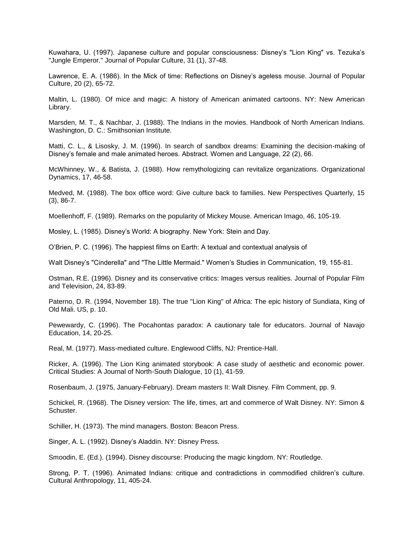Kuwahara, U. (1997). Japanese culture and popular consciousness: Disney's "Lion King" vs. Tezuka's "Jungle Emperor." Journal of Popular Culture, 31 (1), 37-48.

Lawrence, E. A. (1986). In the Mick of time: Reflections on Disney's ageless mouse. Journal of Popular Culture, 20 (2), 65-72.

Maltin, L. (1980). Of mice and magic: A history of American animated cartoons. NY: New American Library.

Marsden, M. T., & Nachbar, J. (1988). The Indians in the movies. Handbook of North American Indians. Washington, D. C.: Smithsonian Institute.

Matti, C. L., & Lisosky, J. M. (1996). In search of sandbox dreams: Examining the decision-making of Disney's female and male animated heroes. Abstract. Women and Language, 22 (2), 66.

McWhinney, W., & Batista, J. (1988). How remythologizing can revitalize organizations. Organizational Dynamics, 17, 46-58.

Medved, M. (1988). The box office word: Give culture back to families. New Perspectives Quarterly, 15 (3), 86-7.

Moellenhoff, F. (1989). Remarks on the popularity of Mickey Mouse. American Imago, 46, 105-19.

Mosley, L. (1985). Disney's World: A biography. New York: Stein and Day.

O'Brien, P. C. (1996). The happiest films on Earth: A textual and contextual analysis of

Walt Disney's "Cinderella" and "The Little Mermaid." Women's Studies in Communication, 19, 155-81.

Ostman, R.E. (1996). Disney and its conservative critics: Images versus realities. Journal of Popular Film and Television, 24, 83-89.

Paterno, D. R. (1994, November 18). The true "Lion King" of Africa: The epic history of Sundiata, King of Old Mali. US, p. 10.

Pewewardy, C. (1996). The Pocahontas paradox: A cautionary tale for educators. Journal of Navajo Education, 14, 20-25.

Real, M. (1977). Mass-mediated culture. Englewood Cliffs, NJ: Prentice-Hall.

Ricker, A. (1996). The Lion King animated storybook: A case study of aesthetic and economic power. Critical Studies: A Journal of North-South Dialogue, 10 (1), 41-59.

Rosenbaum, J. (1975, January-February). Dream masters II: Walt Disney. Film Comment, pp. 9.

Schickel, R. (1968). The Disney version: The life, times, art and commerce of Walt Disney. NY: Simon & Schuster.

Schiller, H. (1973). The mind managers. Boston: Beacon Press.

Singer, A. L. (1992). Disney's Aladdin. NY: Disney Press.

Smoodin, E. (Ed.). (1994). Disney discourse: Producing the magic kingdom. NY: Routledge.

Strong, P. T. (1996). Animated Indians: critique and contradictions in commodified children's culture. Cultural Anthropology, 11, 405-24.